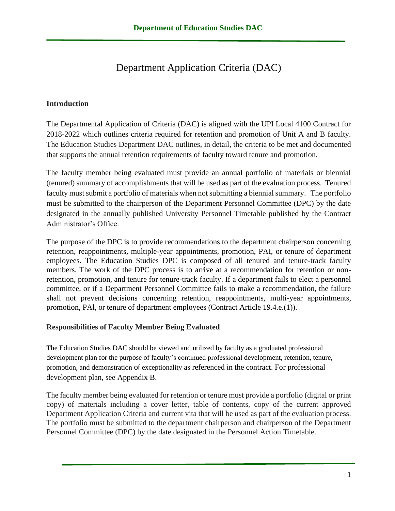# Department Application Criteria (DAC)

### **Introduction**

The Departmental Application of Criteria (DAC) is aligned with the UPI Local 4100 Contract for 2018-2022 which outlines criteria required for retention and promotion of Unit A and B faculty. The Education Studies Department DAC outlines, in detail, the criteria to be met and documented that supports the annual retention requirements of faculty toward tenure and promotion.

The faculty member being evaluated must provide an annual portfolio of materials or biennial (tenured) summary of accomplishments that will be used as part of the evaluation process. Tenured faculty must submit a portfolio of materials when not submitting a biennial summary. The portfolio must be submitted to the chairperson of the Department Personnel Committee (DPC) by the date designated in the annually published University Personnel Timetable published by the Contract Administrator's Office.

The purpose of the DPC is to provide recommendations to the department chairperson concerning retention, reappointments, multiple-year appointments, promotion, PAI, or tenure of department employees. The Education Studies DPC is composed of all tenured and tenure-track faculty members. The work of the DPC process is to arrive at a recommendation for retention or nonretention, promotion, and tenure for tenure-track faculty. If a department fails to elect a personnel committee, or if a Department Personnel Committee fails to make a recommendation, the failure shall not prevent decisions concerning retention, reappointments, multi-year appointments, promotion, PAl, or tenure of department employees (Contract Article 19.4.e.(1)).

#### **Responsibilities of Faculty Member Being Evaluated**

The Education Studies DAC should be viewed and utilized by faculty as a graduated professional development plan for the purpose of faculty's continued professional development, retention, tenure, promotion, and demonstration of exceptionality as referenced in the contract. For professional development plan, see Appendix B.

The faculty member being evaluated for retention or tenure must provide a portfolio (digital or print copy) of materials including a cover letter, table of contents, copy of the current approved Department Application Criteria and current vita that will be used as part of the evaluation process. The portfolio must be submitted to the department chairperson and chairperson of the Department Personnel Committee (DPC) by the date designated in the Personnel Action Timetable.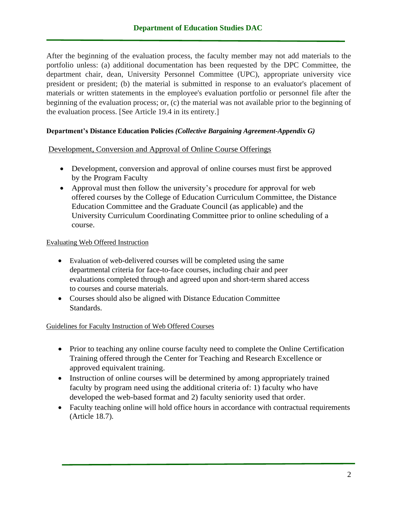After the beginning of the evaluation process, the faculty member may not add materials to the portfolio unless: (a) additional documentation has been requested by the DPC Committee, the department chair, dean, University Personnel Committee (UPC), appropriate university vice president or president; (b) the material is submitted in response to an evaluator's placement of materials or written statements in the employee's evaluation portfolio or personnel file after the beginning of the evaluation process; or, (c) the material was not available prior to the beginning of the evaluation process. [See Article 19.4 in its entirety.]

### **Department's Distance Education Policies** *(Collective Bargaining Agreement-Appendix G)*

Development, Conversion and Approval of Online Course Offerings

- Development, conversion and approval of online courses must first be approved by the Program Faculty
- Approval must then follow the university's procedure for approval for web offered courses by the College of Education Curriculum Committee, the Distance Education Committee and the Graduate Council (as applicable) and the University Curriculum Coordinating Committee prior to online scheduling of a course.

### Evaluating Web Offered Instruction

- Evaluation of web-delivered courses will be completed using the same departmental criteria for face-to-face courses, including chair and peer evaluations completed through and agreed upon and short-term shared access to courses and course materials.
- Courses should also be aligned with Distance Education Committee Standards.

### Guidelines for Faculty Instruction of Web Offered Courses

- Prior to teaching any online course faculty need to complete the Online Certification Training offered through the Center for Teaching and Research Excellence or approved equivalent training.
- Instruction of online courses will be determined by among appropriately trained faculty by program need using the additional criteria of: 1) faculty who have developed the web-based format and 2) faculty seniority used that order.
- Faculty teaching online will hold office hours in accordance with contractual requirements (Article 18.7).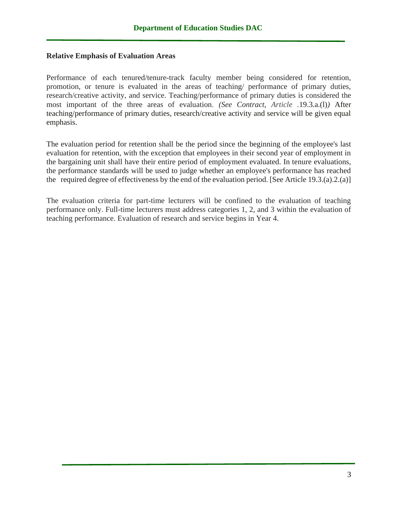#### **Relative Emphasis of Evaluation Areas**

Performance of each tenured/tenure-track faculty member being considered for retention, promotion, or tenure is evaluated in the areas of teaching/ performance of primary duties, research/creative activity, and service. Teaching/performance of primary duties is considered the most important of the three areas of evaluation. *(See Contract, Article .*19.3.a.(l)*)* After teaching/performance of primary duties, research/creative activity and service will be given equal emphasis.

The evaluation period for retention shall be the period since the beginning of the employee's last evaluation for retention, with the exception that employees in their second year of employment in the bargaining unit shall have their entire period of employment evaluated. In tenure evaluations, the performance standards will be used to judge whether an employee's performance has reached the required degree of effectiveness by the end of the evaluation period. [See Article 19.3.(a).2.(a)]

The evaluation criteria for part-time lecturers will be confined to the evaluation of teaching performance only. Full-time lecturers must address categories 1, 2, and 3 within the evaluation of teaching performance. Evaluation of research and service begins in Year 4.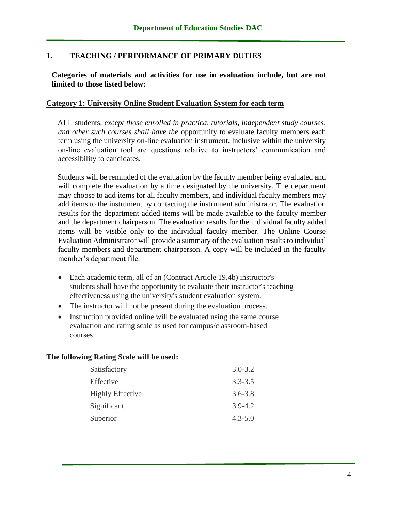### **1. TEACHING / PERFORMANCE OF PRIMARY DUTIES**

**Categories of materials and activities for use in evaluation include, but are not limited to those listed below:**

#### **Category 1: University Online Student Evaluation System for each term**

ALL students, *except those enrolled in practica, tutorials, independent study courses, and other such courses shall have the* opportunity to evaluate faculty members each term using the university on-line evaluation instrument. Inclusive within the university on-line evaluation tool are questions relative to instructors' communication and accessibility to candidates.

Students will be reminded of the evaluation by the faculty member being evaluated and will complete the evaluation by a time designated by the university. The department may choose to add items for all faculty members, and individual faculty members may add items to the instrument by contacting the instrument administrator. The evaluation results for the department added items will be made available to the faculty member and the department chairperson. The evaluation results for the individual faculty added items will be visible only to the individual faculty member. The Online Course Evaluation Administrator will provide a summary of the evaluation results to individual faculty members and department chairperson. A copy will be included in the faculty member's department file.

- Each academic term, all of an (Contract Article 19.4b) instructor's students shall have the opportunity to evaluate their instructor's teaching effectiveness using the university's student evaluation system.
- The instructor will not be present during the evaluation process.
- Instruction provided online will be evaluated using the same course evaluation and rating scale as used for campus/classroom-based courses.

#### **The following Rating Scale will be used:**

| Satisfactory            | $3.0 - 3.2$ |
|-------------------------|-------------|
| Effective               | $3.3 - 3.5$ |
| <b>Highly Effective</b> | $3.6 - 3.8$ |
| Significant             | $3.9 - 4.2$ |
| Superior                | $4.3 - 5.0$ |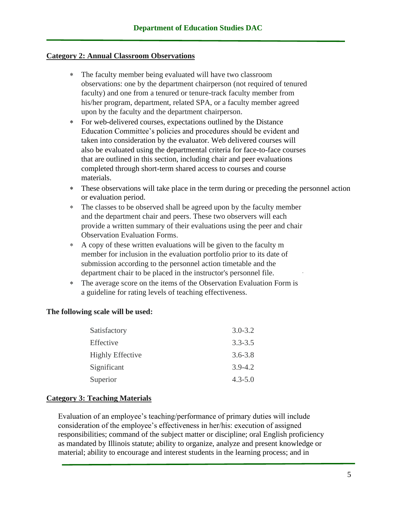#### **Category 2: Annual Classroom Observations**

- The faculty member being evaluated will have two classroom observations: one by the department chairperson (not required of tenured faculty) and one from a tenured or tenure-track faculty member from his/her program, department, related SPA, or a faculty member agreed upon by the faculty and the department chairperson.
- For web-delivered courses, expectations outlined by the Distance Education Committee's policies and procedures should be evident and taken into consideration by the evaluator. Web delivered courses will also be evaluated using the departmental criteria for face-to-face courses that are outlined in this section, including chair and peer evaluations completed through short-term shared access to courses and course materials.
- These observations will take place in the term during or preceding the personnel action or evaluation period.
- The classes to be observed shall be agreed upon by the faculty member and the department chair and peers. These two observers will each provide a written summary of their evaluations using the peer and chair Observation Evaluation Forms.
- A copy of these written evaluations will be given to the faculty m member for inclusion in the evaluation portfolio prior to its date of submission according to the personnel action timetable and the department chair to be placed in the instructor's personnel file.
- The average score on the items of the Observation Evaluation Form is a guideline for rating levels of teaching effectiveness.

#### **The following scale will be used:**

| $3.0 - 3.2$ |
|-------------|
| $3.3 - 3.5$ |
| $3.6 - 3.8$ |
| $3.9 - 4.2$ |
| $4.3 - 5.0$ |
|             |

#### **Category 3: Teaching Materials**

Evaluation of an employee's teaching/performance of primary duties will include consideration of the employee's effectiveness in her/his: execution of assigned responsibilities; command of the subject matter or discipline; oral English proficiency as mandated by Illinois statute; ability to organize, analyze and present knowledge or material; ability to encourage and interest students in the learning process; and in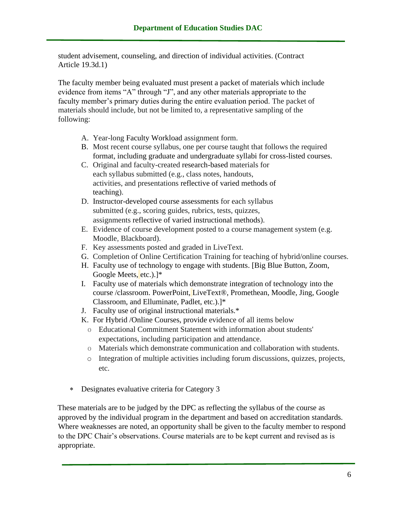student advisement, counseling, and direction of individual activities. (Contract Article 19.3d.1)

The faculty member being evaluated must present a packet of materials which include evidence from items "A" through "J", and any other materials appropriate to the faculty member's primary duties during the entire evaluation period. The packet of materials should include, but not be limited to, a representative sampling of the following:

- A. Year-long Faculty Workload assignment form.
- B. Most recent course syllabus, one per course taught that follows the required format, including graduate and undergraduate syllabi for cross-listed courses.
- C. Original and faculty-created research-based materials for each syllabus submitted (e.g., class notes, handouts, activities, and presentations reflective of varied methods of teaching).
- D. Instructor-developed course assessments for each syllabus submitted (e.g., scoring guides, rubrics, tests, quizzes, assignments reflective of varied instructional methods).
- E. Evidence of course development posted to a course management system (e.g. Moodle, Blackboard).
- F. Key assessments posted and graded in LiveText.
- G. Completion of Online Certification Training for teaching of hybrid/online courses.
- H. Faculty use of technology to engage with students. [Big Blue Button, Zoom, Google Meets, etc.).]\*
- I. Faculty use of materials which demonstrate integration of technology into the course /classroom. PowerPoint, LiveText®, Promethean, Moodle, Jing, Google Classroom, and Elluminate, Padlet, etc.).]\*
- J. Faculty use of original instructional materials.\*
- K. For Hybrid /Online Courses, provide evidence of all items below
	- o Educational Commitment Statement with information about students' expectations, including participation and attendance.
	- o Materials which demonstrate communication and collaboration with students.
	- o Integration of multiple activities including forum discussions, quizzes, projects, etc.
- Designates evaluative criteria for Category 3

These materials are to be judged by the DPC as reflecting the syllabus of the course as approved by the individual program in the department and based on accreditation standards. Where weaknesses are noted, an opportunity shall be given to the faculty member to respond to the DPC Chair's observations. Course materials are to be kept current and revised as is appropriate.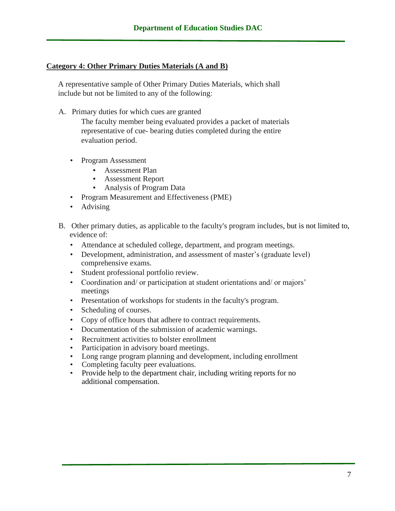#### **Category 4: Other Primary Duties Materials (A and B)**

A representative sample of Other Primary Duties Materials, which shall include but not be limited to any of the following:

A. Primary duties for which cues are granted

The faculty member being evaluated provides a packet of materials representative of cue- bearing duties completed during the entire evaluation period.

- Program Assessment
	- **EXECUTE:** Assessment Plan
	- Assessment Report
	- Analysis of Program Data
- Program Measurement and Effectiveness (PME)
- Advising
- B. Other primary duties, as applicable to the faculty's program includes, but is not limited to, evidence of:
	- Attendance at scheduled college, department, and program meetings.
	- Development, administration, and assessment of master's (graduate level) comprehensive exams.
	- Student professional portfolio review.
	- Coordination and/ or participation at student orientations and/ or majors' meetings
	- Presentation of workshops for students in the faculty's program.
	- Scheduling of courses.
	- Copy of office hours that adhere to contract requirements.
	- Documentation of the submission of academic warnings.
	- Recruitment activities to bolster enrollment
	- Participation in advisory board meetings.
	- Long range program planning and development, including enrollment
	- Completing faculty peer evaluations.
	- Provide help to the department chair, including writing reports for no additional compensation.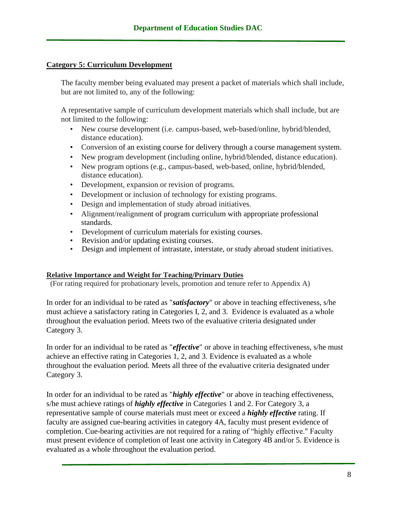#### **Category 5: Curriculum Development**

The faculty member being evaluated may present a packet of materials which shall include, but are not limited to, any of the following:

A representative sample of curriculum development materials which shall include, but are not limited to the following:

- New course development (i.e. campus-based, web-based/online, hybrid/blended, distance education).
- Conversion of an existing course for delivery through a course management system.
- New program development (including online, hybrid/blended, distance education).
- New program options (e.g., campus-based, web-based, online, hybrid/blended, distance education).
- Development, expansion or revision of programs.
- Development or inclusion of technology for existing programs.
- Design and implementation of study abroad initiatives.
- Alignment/realignment of program curriculum with appropriate professional standards.
- Development of curriculum materials for existing courses.
- Revision and/or updating existing courses.
- Design and implement of intrastate, interstate, or study abroad student initiatives.

#### **Relative Importance and Weight for Teaching/Primary Duties**

(For rating required for probationary levels, promotion and tenure refer to Appendix A)

In order for an individual to be rated as "*satisfactory*" or above in teaching effectiveness, s/he must achieve a satisfactory rating in Categories I, 2, and 3. Evidence is evaluated as a whole throughout the evaluation period. Meets two of the evaluative criteria designated under Category 3.

In order for an individual to be rated as "*effective*" or above in teaching effectiveness, s/he must achieve an effective rating in Categories 1, 2, and 3. Evidence is evaluated as a whole throughout the evaluation period. Meets all three of the evaluative criteria designated under Category 3.

In order for an individual to be rated as "*highly effective*" or above in teaching effectiveness, s/he must achieve ratings of *highly effective* in Categories 1 and 2. For Category 3, a representative sample of course materials must meet or exceed a *highly effective* rating. If faculty are assigned cue-bearing activities in category 4A, faculty must present evidence of completion. Cue-bearing activities are not required for a rating of "highly effective." Faculty must present evidence of completion of least one activity in Category 4B and/or 5. Evidence is evaluated as a whole throughout the evaluation period.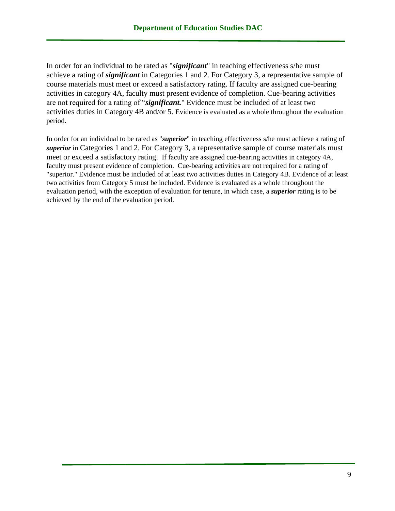In order for an individual to be rated as "*significant*" in teaching effectiveness s/he must achieve a rating of *significant* in Categories 1 and 2. For Category 3, a representative sample of course materials must meet or exceed a satisfactory rating. If faculty are assigned cue-bearing activities in category 4A, faculty must present evidence of completion. Cue-bearing activities are not required for a rating of "*significant.*" Evidence must be included of at least two activities duties in Category 4B and/or 5. Evidence is evaluated as a whole throughout the evaluation period.

In order for an individual to be rated as "*superior*" in teaching effectiveness s/he must achieve a rating of *superior* in Categories 1 and 2. For Category 3, a representative sample of course materials must meet or exceed a satisfactory rating. If faculty are assigned cue-bearing activities in category 4A, faculty must present evidence of completion. Cue-bearing activities are not required for a rating of "superior." Evidence must be included of at least two activities duties in Category 4B. Evidence of at least two activities from Category 5 must be included. Evidence is evaluated as a whole throughout the evaluation period, with the exception of evaluation for tenure, in which case, a *superior* rating is to be achieved by the end of the evaluation period.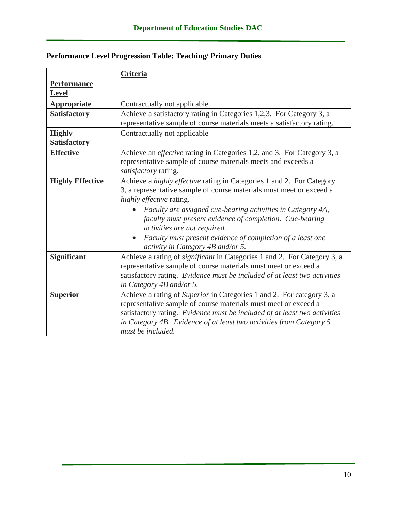|                                    | Criteria                                                                                                                                                                                                                                                                                                                                                                                                                                |  |  |
|------------------------------------|-----------------------------------------------------------------------------------------------------------------------------------------------------------------------------------------------------------------------------------------------------------------------------------------------------------------------------------------------------------------------------------------------------------------------------------------|--|--|
| <b>Performance</b><br><b>Level</b> |                                                                                                                                                                                                                                                                                                                                                                                                                                         |  |  |
| <b>Appropriate</b>                 | Contractually not applicable                                                                                                                                                                                                                                                                                                                                                                                                            |  |  |
| <b>Satisfactory</b>                | Achieve a satisfactory rating in Categories 1,2,3. For Category 3, a<br>representative sample of course materials meets a satisfactory rating.                                                                                                                                                                                                                                                                                          |  |  |
| <b>Highly</b><br>Satisfactory      | Contractually not applicable                                                                                                                                                                                                                                                                                                                                                                                                            |  |  |
| <b>Effective</b>                   | Achieve an <i>effective</i> rating in Categories 1,2, and 3. For Category 3, a<br>representative sample of course materials meets and exceeds a<br>satisfactory rating.                                                                                                                                                                                                                                                                 |  |  |
| <b>Highly Effective</b>            | Achieve a highly effective rating in Categories 1 and 2. For Category<br>3, a representative sample of course materials must meet or exceed a<br>highly effective rating.<br>Faculty are assigned cue-bearing activities in Category 4A,<br>faculty must present evidence of completion. Cue-bearing<br>activities are not required.<br>Faculty must present evidence of completion of a least one<br>activity in Category 4B and/or 5. |  |  |
| <b>Significant</b>                 | Achieve a rating of significant in Categories 1 and 2. For Category 3, a<br>representative sample of course materials must meet or exceed a<br>satisfactory rating. Evidence must be included of at least two activities<br>in Category 4B and/or 5.                                                                                                                                                                                    |  |  |
| <b>Superior</b>                    | Achieve a rating of Superior in Categories 1 and 2. For category 3, a<br>representative sample of course materials must meet or exceed a<br>satisfactory rating. Evidence must be included of at least two activities<br>in Category 4B. Evidence of at least two activities from Category 5<br>must be included.                                                                                                                       |  |  |

# **Performance Level Progression Table: Teaching/ Primary Duties**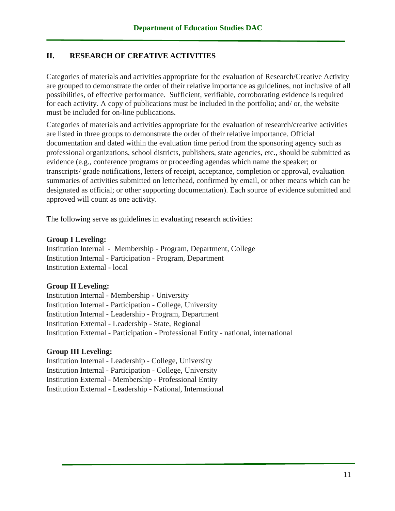### **II. RESEARCH OF CREATIVE ACTIVITIES**

Categories of materials and activities appropriate for the evaluation of Research/Creative Activity are grouped to demonstrate the order of their relative importance as guidelines, not inclusive of all possibilities, of effective performance. Sufficient, verifiable, corroborating evidence is required for each activity. A copy of publications must be included in the portfolio; and/ or, the website must be included for on-line publications.

Categories of materials and activities appropriate for the evaluation of research/creative activities are listed in three groups to demonstrate the order of their relative importance. Official documentation and dated within the evaluation time period from the sponsoring agency such as professional organizations, school districts, publishers, state agencies, etc., should be submitted as evidence (e.g., conference programs or proceeding agendas which name the speaker; or transcripts/ grade notifications, letters of receipt, acceptance, completion or approval, evaluation summaries of activities submitted on letterhead, confirmed by email, or other means which can be designated as official; or other supporting documentation). Each source of evidence submitted and approved will count as one activity.

The following serve as guidelines in evaluating research activities:

#### **Group I Leveling:**

Institution Internal - Membership - Program, Department, College Institution Internal - Participation - Program, Department Institution External - local

### **Group II Leveling:**

Institution Internal - Membership - University Institution Internal - Participation - College, University Institution Internal - Leadership - Program, Department Institution External - Leadership - State, Regional Institution External - Participation - Professional Entity - national, international

### **Group III Leveling:**

Institution Internal - Leadership - College, University Institution Internal - Participation - College, University Institution External - Membership - Professional Entity Institution External - Leadership - National, International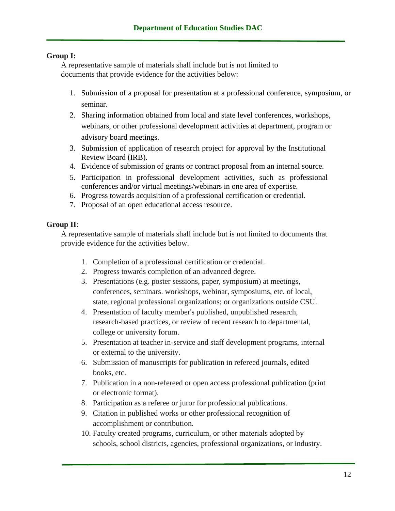### **Group I:**

A representative sample of materials shall include but is not limited to documents that provide evidence for the activities below:

- 1. Submission of a proposal for presentation at a professional conference, symposium, or seminar.
- 2. Sharing information obtained from local and state level conferences, workshops, webinars, or other professional development activities at department, program or advisory board meetings.
- 3. Submission of application of research project for approval by the Institutional Review Board (IRB).
- 4. Evidence of submission of grants or contract proposal from an internal source.
- 5. Participation in professional development activities, such as professional conferences and/or virtual meetings/webinars in one area of expertise.
- 6. Progress towards acquisition of a professional certification or credential.
- 7. Proposal of an open educational access resource.

#### **Group II**:

A representative sample of materials shall include but is not limited to documents that provide evidence for the activities below.

- 1. Completion of a professional certification or credential.
- 2. Progress towards completion of an advanced degree.
- 3. Presentations (e.g. poster sessions, paper, symposium) at meetings, conferences, seminars. workshops, webinar, symposiums, etc. of local, state, regional professional organizations; or organizations outside CSU.
- 4. Presentation of faculty member's published, unpublished research, research-based practices, or review of recent research to departmental, college or university forum.
- 5. Presentation at teacher in-service and staff development programs, internal or external to the university.
- 6. Submission of manuscripts for publication in refereed journals, edited books, etc.
- 7. Publication in a non-refereed or open access professional publication (print or electronic format).
- 8. Participation as a referee or juror for professional publications.
- 9. Citation in published works or other professional recognition of accomplishment or contribution.
- 10. Faculty created programs, curriculum, or other materials adopted by schools, school districts, agencies, professional organizations, or industry.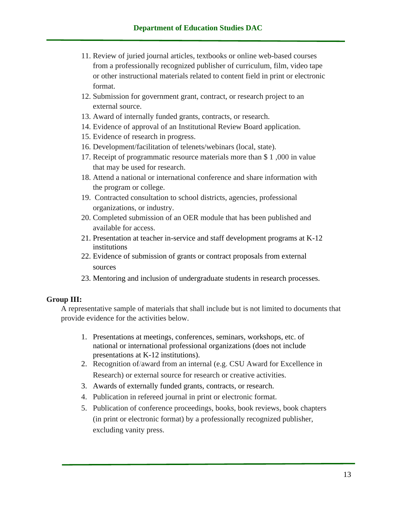- 11. Review of juried journal articles, textbooks or online web-based courses from a professionally recognized publisher of curriculum, film, video tape or other instructional materials related to content field in print or electronic format.
- 12. Submission for government grant, contract, or research project to an external source.
- 13. Award of internally funded grants, contracts, or research.
- 14. Evidence of approval of an Institutional Review Board application.
- 15. Evidence of research in progress.
- 16. Development/facilitation of telenets/webinars (local, state).
- 17. Receipt of programmatic resource materials more than \$ 1 ,000 in value that may be used for research.
- 18. Attend a national or international conference and share information with the program or college.
- 19. Contracted consultation to school districts, agencies, professional organizations, or industry.
- 20. Completed submission of an OER module that has been published and available for access.
- 21. Presentation at teacher in-service and staff development programs at K-12 institutions
- 22. Evidence of submission of grants or contract proposals from external sources
- 23. Mentoring and inclusion of undergraduate students in research processes.

### **Group III:**

A representative sample of materials that shall include but is not limited to documents that provide evidence for the activities below.

- 1. Presentations at meetings, conferences, seminars, workshops, etc. of national or international professional organizations (does not include presentations at K-12 institutions).
- 2. Recognition of/award from an internal (e.g. CSU Award for Excellence in Research) or external source for research or creative activities.
- 3. Awards of externally funded grants, contracts, or research.
- 4. Publication in refereed journal in print or electronic format.
- 5. Publication of conference proceedings, books, book reviews, book chapters (in print or electronic format) by a professionally recognized publisher, excluding vanity press.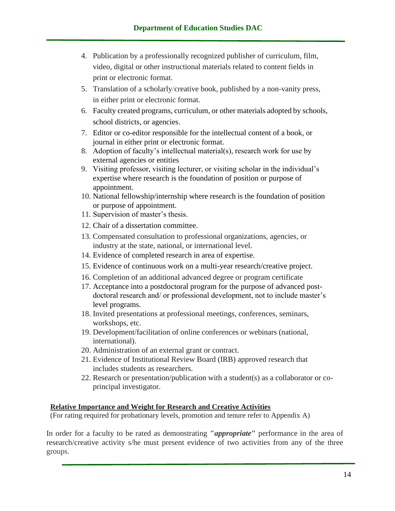- 4. Publication by a professionally recognized publisher of curriculum, film, video, digital or other instructional materials related to content fields in print or electronic format.
- 5. Translation of a scholarly/creative book, published by a non-vanity press, in either print or electronic format.
- 6. Faculty created programs, curriculum, or other materials adopted by schools, school districts, or agencies.
- 7. Editor or co-editor responsible for the intellectual content of a book, or journal in either print or electronic format.
- 8. Adoption of faculty's intellectual material(s), research work for use by external agencies or entities
- 9. Visiting professor, visiting lecturer, or visiting scholar in the individual's expertise where research is the foundation of position or purpose of appointment.
- 10. National fellowship/internship where research is the foundation of position or purpose of appointment.
- 11. Supervision of master's thesis.
- 12. Chair of a dissertation committee.
- 13. Compensated consultation to professional organizations, agencies, or industry at the state, national, or international level.
- 14. Evidence of completed research in area of expertise.
- 15. Evidence of continuous work on a multi-year research/creative project.
- 16. Completion of an additional advanced degree or program certificate
- 17. Acceptance into a postdoctoral program for the purpose of advanced postdoctoral research and/ or professional development, not to include master's level programs.
- 18. Invited presentations at professional meetings, conferences, seminars, workshops, etc.
- 19. Development/facilitation of online conferences or webinars (national, international).
- 20. Administration of an external grant or contract.
- 21. Evidence of Institutional Review Board (IRB) approved research that includes students as researchers.
- 22. Research or presentation/publication with a student(s) as a collaborator or coprincipal investigator.

#### **Relative Importance and Weight for Research and Creative Activities**

(For rating required for probationary levels, promotion and tenure refer to Appendix A)

In order for a faculty to be rated as demonstrating **"***appropriate***"** performance in the area of research/creative activity s/he must present evidence of two activities from any of the three groups.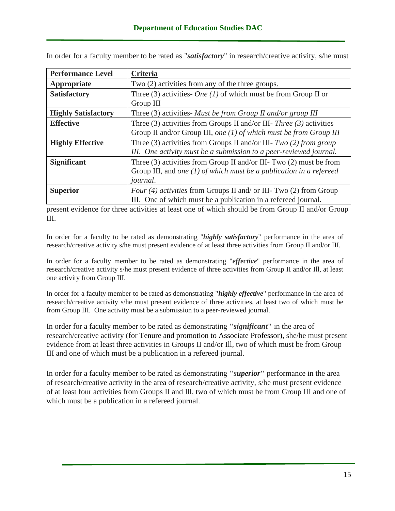| <b>Performance Level</b>   | Criteria                                                                |  |  |
|----------------------------|-------------------------------------------------------------------------|--|--|
| Appropriate                | Two (2) activities from any of the three groups.                        |  |  |
| <b>Satisfactory</b>        | Three (3) activities- <i>One</i> (1) of which must be from Group II or  |  |  |
|                            | Group III                                                               |  |  |
| <b>Highly Satisfactory</b> | Three $(3)$ activities- Must be from Group II and/or group III          |  |  |
| <b>Effective</b>           | Three (3) activities from Groups II and/or III- Three (3) activities    |  |  |
|                            | Group II and/or Group III, one $(1)$ of which must be from Group III    |  |  |
| <b>Highly Effective</b>    | Three (3) activities from Groups II and/or III- $Two (2) from group$    |  |  |
|                            | III. One activity must be a submission to a peer-reviewed journal.      |  |  |
| <b>Significant</b>         | Three $(3)$ activities from Group II and/or III- Two $(2)$ must be from |  |  |
|                            | Group III, and one $(1)$ of which must be a publication in a refereed   |  |  |
|                            | <i>journal.</i>                                                         |  |  |
| <b>Superior</b>            | Four (4) activities from Groups II and/ or III- Two (2) from Group      |  |  |
|                            | III. One of which must be a publication in a refereed journal.          |  |  |

In order for a faculty member to be rated as "*satisfactory*" in research/creative activity, s/he must

present evidence for three activities at least one of which should be from Group II and/or Group III.

In order for a faculty to be rated as demonstrating "*highly satisfactory*" performance in the area of research/creative activity s/he must present evidence of at least three activities from Group II and/or III.

In order for a faculty member to be rated as demonstrating "*effective*" performance in the area of research/creative activity s/he must present evidence of three activities from Group II and/or Ill, at least one activity from Group III.

In order for a faculty member to be rated as demonstrating "*highly effective*" performance in the area of research/creative activity s/he must present evidence of three activities, at least two of which must be from Group III. One activity must be a submission to a peer-reviewed journal.

In order for a faculty member to be rated as demonstrating **"***significant***"** in the area of research/creative activity (for Tenure and promotion to Associate Professor), she/he must present evidence from at least three activities in Groups II and/or Ill, two of which must be from Group III and one of which must be a publication in a refereed journal.

In order for a faculty member to be rated as demonstrating **"***superior***"** performance in the area of research/creative activity in the area of research/creative activity, s/he must present evidence of at least four activities from Groups II and Ill, two of which must be from Group III and one of which must be a publication in a refereed journal.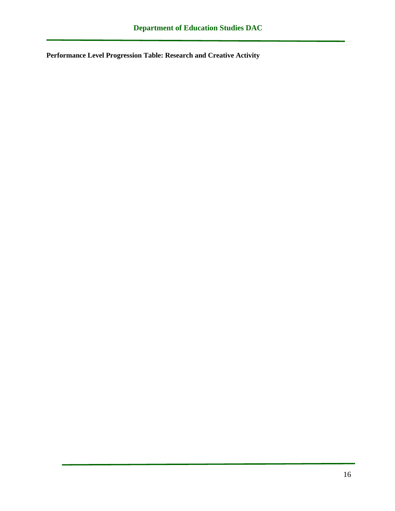**Performance Level Progression Table: Research and Creative Activity**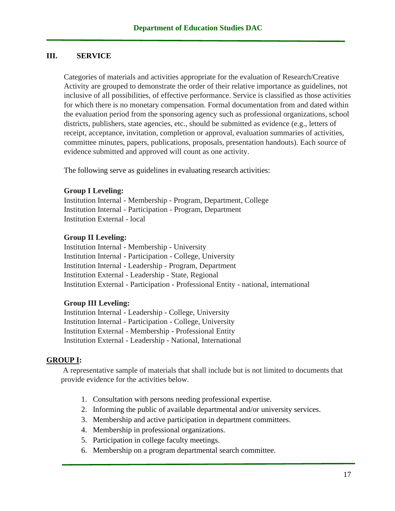#### **III. SERVICE**

Categories of materials and activities appropriate for the evaluation of Research/Creative Activity are grouped to demonstrate the order of their relative importance as guidelines, not inclusive of all possibilities, of effective performance. Service is classified as those activities for which there is no monetary compensation*.* Formal documentation from and dated within the evaluation period from the sponsoring agency such as professional organizations, school districts, publishers, state agencies, etc., should be submitted as evidence (e.g., letters of receipt, acceptance, invitation, completion or approval, evaluation summaries of activities, committee minutes, papers, publications, proposals, presentation handouts). Each source of evidence submitted and approved will count as one activity.

The following serve as guidelines in evaluating research activities:

#### **Group I Leveling:**

Institution Internal - Membership - Program, Department, College Institution Internal - Participation - Program, Department Institution External - local

#### **Group II Leveling:**

Institution Internal - Membership - University Institution Internal - Participation - College, University Institution Internal - Leadership - Program, Department Institution External - Leadership - State, Regional Institution External - Participation - Professional Entity - national, international

#### **Group III Leveling:**

Institution Internal - Leadership - College, University Institution Internal - Participation - College, University Institution External - Membership - Professional Entity Institution External - Leadership - National, International

#### **GROUP I:**

A representative sample of materials that shall include but is not limited to documents that provide evidence for the activities below.

- 1. Consultation with persons needing professional expertise.
- 2. Informing the public of available departmental and/or university services.
- 3. Membership and active participation in department committees.
- 4. Membership in professional organizations.
- 5. Participation in college faculty meetings.
- 6. Membership on a program departmental search committee.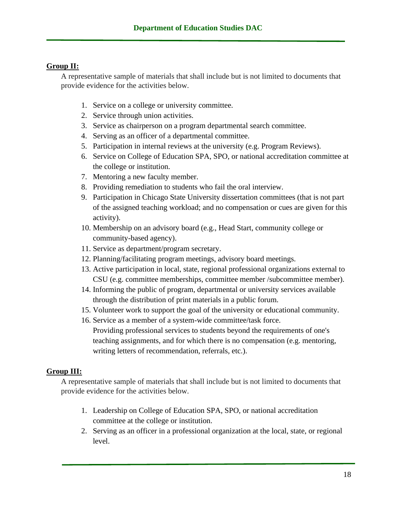### **Group II:**

A representative sample of materials that shall include but is not limited to documents that provide evidence for the activities below.

- 1. Service on a college or university committee.
- 2. Service through union activities.
- 3. Service as chairperson on a program departmental search committee.
- 4. Serving as an officer of a departmental committee.
- 5. Participation in internal reviews at the university (e.g. Program Reviews).
- 6. Service on College of Education SPA, SPO, or national accreditation committee at the college or institution.
- 7. Mentoring a new faculty member.
- 8. Providing remediation to students who fail the oral interview.
- 9. Participation in Chicago State University dissertation committees (that is not part of the assigned teaching workload; and no compensation or cues are given for this activity).
- 10. Membership on an advisory board (e.g., Head Start, community college or community-based agency).
- 11. Service as department/program secretary.
- 12. Planning/facilitating program meetings, advisory board meetings.
- 13. Active participation in local, state, regional professional organizations external to CSU (e.g. committee memberships, committee member /subcommittee member).
- 14. Informing the public of program, departmental or university services available through the distribution of print materials in a public forum.
- 15. Volunteer work to support the goal of the university or educational community.
- 16. Service as a member of a system-wide committee/task force. Providing professional services to students beyond the requirements of one's teaching assignments, and for which there is no compensation (e.g. mentoring, writing letters of recommendation, referrals, etc.).

# **Group III:**

A representative sample of materials that shall include but is not limited to documents that provide evidence for the activities below.

- 1. Leadership on College of Education SPA, SPO, or national accreditation committee at the college or institution.
- 2. Serving as an officer in a professional organization at the local, state, or regional level.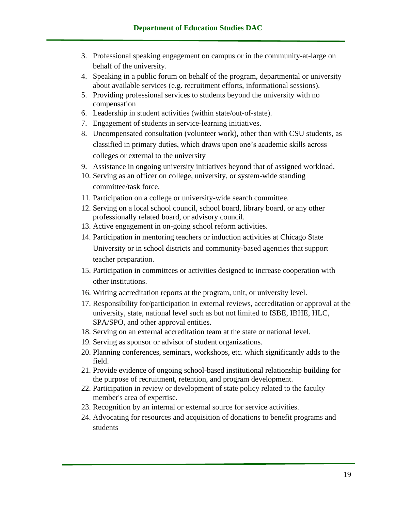- 3. Professional speaking engagement on campus or in the community-at-large on behalf of the university.
- 4. Speaking in a public forum on behalf of the program, departmental or university about available services (e.g. recruitment efforts, informational sessions).
- 5. Providing professional services to students beyond the university with no compensation
- 6. Leadership in student activities (within state/out-of-state).
- 7. Engagement of students in service-learning initiatives.
- 8. Uncompensated consultation (volunteer work), other than with CSU students, as classified in primary duties, which draws upon one's academic skills across colleges or external to the university
- 9. Assistance in ongoing university initiatives beyond that of assigned workload.
- 10. Serving as an officer on college, university, or system-wide standing committee/task force.
- 11. Participation on a college or university-wide search committee.
- 12. Serving on a local school council, school board, library board, or any other professionally related board, or advisory council.
- 13. Active engagement in on-going school reform activities.
- 14. Participation in mentoring teachers or induction activities at Chicago State University or in school districts and community-based agencies that support teacher preparation.
- 15. Participation in committees or activities designed to increase cooperation with other institutions.
- 16. Writing accreditation reports at the program, unit, or university level.
- 17. Responsibility for/participation in external reviews, accreditation or approval at the university, state, national level such as but not limited to ISBE, IBHE, HLC, SPA/SPO, and other approval entities.
- 18. Serving on an external accreditation team at the state or national level.
- 19. Serving as sponsor or advisor of student organizations.
- 20. Planning conferences, seminars, workshops, etc. which significantly adds to the field.
- 21. Provide evidence of ongoing school-based institutional relationship building for the purpose of recruitment, retention, and program development.
- 22. Participation in review or development of state policy related to the faculty member's area of expertise.
- 23. Recognition by an internal or external source for service activities.
- 24. Advocating for resources and acquisition of donations to benefit programs and students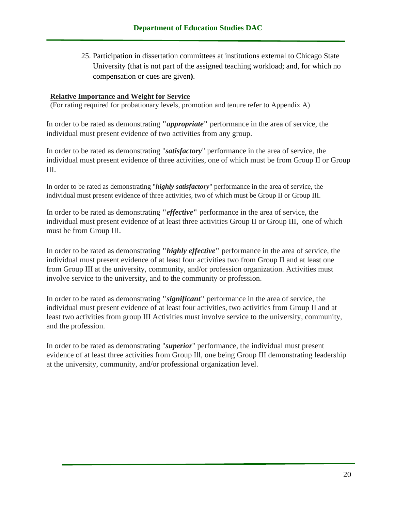25. Participation in dissertation committees at institutions external to Chicago State University (that is not part of the assigned teaching workload; and, for which no compensation or cues are given**)**.

#### **Relative Importance and Weight for Service**

(For rating required for probationary levels, promotion and tenure refer to Appendix A)

In order to be rated as demonstrating **"***appropriate***"** performance in the area of service, the individual must present evidence of two activities from any group.

In order to be rated as demonstrating "*satisfactory*" performance in the area of service, the individual must present evidence of three activities, one of which must be from Group II or Group III.

In order to be rated as demonstrating "*highly satisfactory*" performance in the area of service, the individual must present evidence of three activities, two of which must be Group II or Group III.

In order to be rated as demonstrating **"***effective***"** performance in the area of service, the individual must present evidence of at least three activities Group II or Group III, one of which must be from Group III.

In order to be rated as demonstrating **"***highly effective***"** performance in the area of service, the individual must present evidence of at least four activities two from Group II and at least one from Group III at the university, community, and/or profession organization. Activities must involve service to the university, and to the community or profession.

In order to be rated as demonstrating **"***significant***"** performance in the area of service, the individual must present evidence of at least four activities, two activities from Group II and at least two activities from group III Activities must involve service to the university, community, and the profession.

In order to be rated as demonstrating "*superior*" performance, the individual must present evidence of at least three activities from Group Ill, one being Group III demonstrating leadership at the university, community, and/or professional organization level.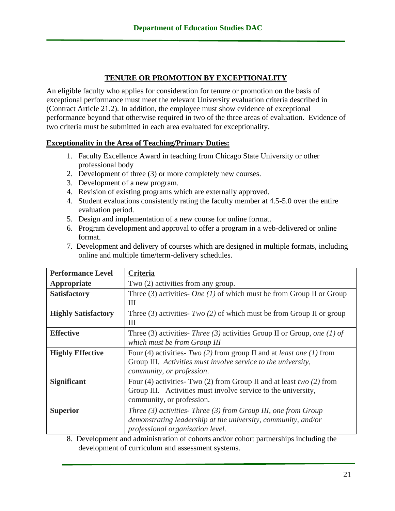### **TENURE OR PROMOTION BY EXCEPTIONALITY**

An eligible faculty who applies for consideration for tenure or promotion on the basis of exceptional performance must meet the relevant University evaluation criteria described in (Contract Article 21.2). In addition, the employee must show evidence of exceptional performance beyond that otherwise required in two of the three areas of evaluation. Evidence of two criteria must be submitted in each area evaluated for exceptionality.

#### **Exceptionality in the Area of Teaching/Primary Duties:**

- 1.Faculty Excellence Award in teaching from Chicago State University or other professional body
- 2. Development of three (3) or more completely new courses.
- 3. Development of a new program.
- 4. Revision of existing programs which are externally approved.
- 4. Student evaluations consistently rating the faculty member at 4.5-5.0 over the entire evaluation period.
- 5. Design and implementation of a new course for online format.
- 6. Program development and approval to offer a program in a web-delivered or online format.
- 7. Development and delivery of courses which are designed in multiple formats, including online and multiple time/term-delivery schedules.

| <b>Performance Level</b>   | Criteria                                                                                                                                                                    |  |  |
|----------------------------|-----------------------------------------------------------------------------------------------------------------------------------------------------------------------------|--|--|
| Appropriate                | Two (2) activities from any group.                                                                                                                                          |  |  |
| <b>Satisfactory</b>        | Three (3) activities- <i>One</i> (1) of which must be from Group II or Group<br>Ш                                                                                           |  |  |
| <b>Highly Satisfactory</b> | Three (3) activities- $Two(2)$ of which must be from Group II or group<br>Ш                                                                                                 |  |  |
| <b>Effective</b>           | Three (3) activities- Three (3) activities Group II or Group, one (1) of<br>which must be from Group III                                                                    |  |  |
| <b>Highly Effective</b>    | Four (4) activities- $Two(2)$ from group II and at <i>least one</i> (1) from<br>Group III. Activities must involve service to the university,<br>community, or profession.  |  |  |
| <b>Significant</b>         | Four (4) activities Two (2) from Group II and at least two (2) from<br>Group III. Activities must involve service to the university,<br>community, or profession.           |  |  |
| <b>Superior</b>            | Three $(3)$ activities-Three $(3)$ from Group III, one from Group<br>demonstrating leadership at the university, community, and/or<br>professional organization level.<br>. |  |  |

8. Development and administration of cohorts and/or cohort partnerships including the development of curriculum and assessment systems.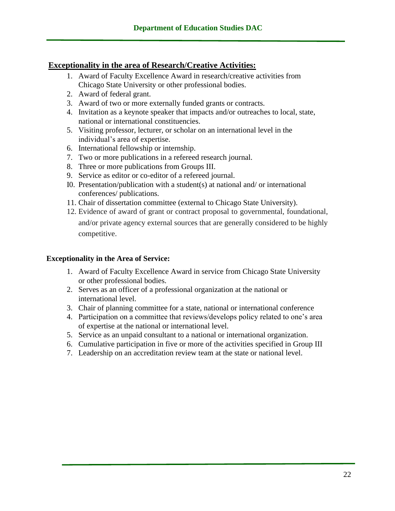### **Exceptionality in the area of Research/Creative Activities:**

- 1. Award of Faculty Excellence Award in research/creative activities from Chicago State University or other professional bodies.
- 2. Award of federal grant.
- 3. Award of two or more externally funded grants or contracts.
- 4. Invitation as a keynote speaker that impacts and/or outreaches to local, state, national or international constituencies.
- 5. Visiting professor, lecturer, or scholar on an international level in the individual's area of expertise.
- 6. International fellowship or internship.
- 7. Two or more publications in a refereed research journal.
- 8. Three or more publications from Groups III.
- 9. Service as editor or co-editor of a refereed journal.
- I0. Presentation/publication with a student(s) at national and/ or international conferences/ publications.
- 11. Chair of dissertation committee (external to Chicago State University).
- 12. Evidence of award of grant or contract proposal to governmental, foundational, and/or private agency external sources that are generally considered to be highly competitive.

#### **Exceptionality in the Area of Service:**

- 1. Award of Faculty Excellence Award in service from Chicago State University or other professional bodies.
- 2. Serves as an officer of a professional organization at the national or international level.
- 3. Chair of planning committee for a state, national or international conference
- 4. Participation on a committee that reviews/develops policy related to one's area of expertise at the national or international level.
- 5. Service as an unpaid consultant to a national or international organization.
- 6. Cumulative participation in five or more of the activities specified in Group III
- 7. Leadership on an accreditation review team at the state or national level.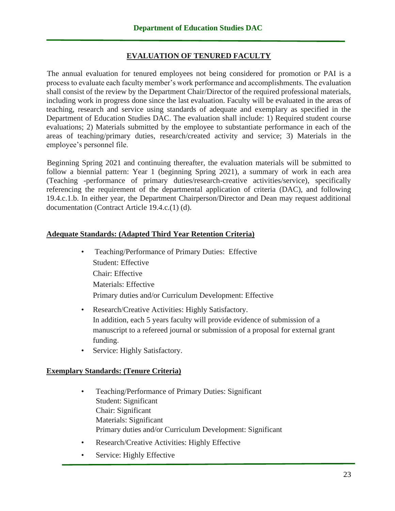### **EVALUATION OF TENURED FACULTY**

The annual evaluation for tenured employees not being considered for promotion or PAI is a process to evaluate each faculty member's work performance and accomplishments. The evaluation shall consist of the review by the Department Chair/Director of the required professional materials, including work in progress done since the last evaluation. Faculty will be evaluated in the areas of teaching, research and service using standards of adequate and exemplary as specified in the Department of Education Studies DAC. The evaluation shall include: 1) Required student course evaluations; 2) Materials submitted by the employee to substantiate performance in each of the areas of teaching/primary duties, research/created activity and service; 3) Materials in the employee's personnel file.

Beginning Spring 2021 and continuing thereafter, the evaluation materials will be submitted to follow a biennial pattern: Year 1 (beginning Spring 2021), a summary of work in each area (Teaching -performance of primary duties/research-creative activities/service), specifically referencing the requirement of the departmental application of criteria (DAC), and following 19.4.c.1.b. In either year, the Department Chairperson/Director and Dean may request additional documentation (Contract Article 19.4.c.(1) (d).

### **Adequate Standards: (Adapted Third Year Retention Criteria)**

- Teaching/Performance of Primary Duties: Effective Student: Effective Chair: Effective Materials: Effective Primary duties and/or Curriculum Development: Effective
- Research/Creative Activities: Highly Satisfactory. In addition, each 5 years faculty will provide evidence of submission of a manuscript to a refereed journal or submission of a proposal for external grant funding.
- Service: Highly Satisfactory.

### **Exemplary Standards: (Tenure Criteria)**

- Teaching/Performance of Primary Duties: Significant Student: Significant Chair: Significant Materials: Significant Primary duties and/or Curriculum Development: Significant
- Research/Creative Activities: Highly Effective
- Service: Highly Effective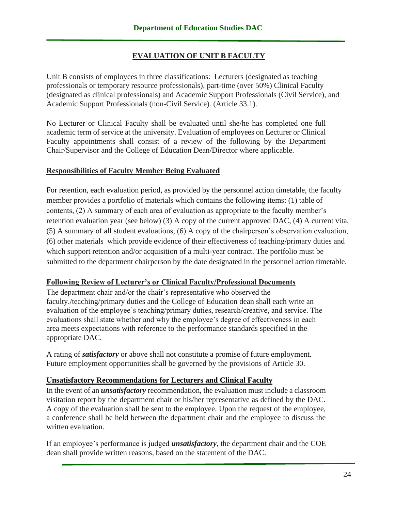# **EVALUATION OF UNIT B FACULTY**

Unit B consists of employees in three classifications: Lecturers (designated as teaching professionals or temporary resource professionals), part-time (over 50%) Clinical Faculty (designated as clinical professionals) and Academic Support Professionals (Civil Service), and Academic Support Professionals (non-Civil Service). (Article 33.1).

No Lecturer or Clinical Faculty shall be evaluated until she/he has completed one full academic term of service at the university. Evaluation of employees on Lecturer or Clinical Faculty appointments shall consist of a review of the following by the Department Chair/Supervisor and the College of Education Dean/Director where applicable.

#### **Responsibilities of Faculty Member Being Evaluated**

For retention, each evaluation period, as provided by the personnel action timetable, the faculty member provides a portfolio of materials which contains the following items: (1) table of contents, (2) A summary of each area of evaluation as appropriate to the faculty member's retention evaluation year (see below) (3) A copy of the current approved DAC, (4) A current vita, (5) A summary of all student evaluations, (6) A copy of the chairperson's observation evaluation, (6) other materials which provide evidence of their effectiveness of teaching/primary duties and which support retention and/or acquisition of a multi-year contract. The portfolio must be submitted to the department chairperson by the date designated in the personnel action timetable.

### **Following Review of Lecturer's or Clinical Faculty/Professional Documents**

The department chair and/or the chair's representative who observed the faculty./teaching/primary duties and the College of Education dean shall each write an evaluation of the employee's teaching/primary duties, research/creative, and service. The evaluations shall state whether and why the employee's degree of effectiveness in each area meets expectations with reference to the performance standards specified in the appropriate DAC.

A rating of *satisfactory* or above shall not constitute a promise of future employment. Future employment opportunities shall be governed by the provisions of Article 30.

### **Unsatisfactory Recommendations for Lecturers and Clinical Faculty**

In the event of an *unsatisfactory* recommendation, the evaluation must include a classroom visitation report by the department chair or his/her representative as defined by the DAC. A copy of the evaluation shall be sent to the employee. Upon the request of the employee, a conference shall be held between the department chair and the employee to discuss the written evaluation.

If an employee's performance is judged *unsatisfactory*, the department chair and the COE dean shall provide written reasons, based on the statement of the DAC.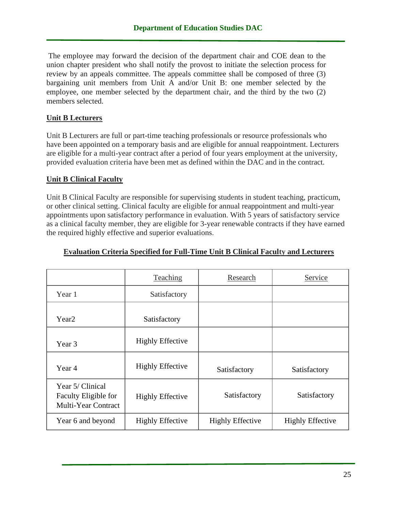The employee may forward the decision of the department chair and COE dean to the union chapter president who shall notify the provost to initiate the selection process for review by an appeals committee. The appeals committee shall be composed of three (3) bargaining unit members from Unit A and/or Unit B: one member selected by the employee, one member selected by the department chair, and the third by the two (2) members selected.

### **Unit B Lecturers**

Unit B Lecturers are full or part-time teaching professionals or resource professionals who have been appointed on a temporary basis and are eligible for annual reappointment. Lecturers are eligible for a multi-year contract after a period of four years employment at the university, provided evaluation criteria have been met as defined within the DAC and in the contract.

### **Unit B Clinical Faculty**

Unit B Clinical Faculty are responsible for supervising students in student teaching, practicum, or other clinical setting. Clinical faculty are eligible for annual reappointment and multi-year appointments upon satisfactory performance in evaluation. With 5 years of satisfactory service as a clinical faculty member, they are eligible for 3-year renewable contracts if they have earned the required highly effective and superior evaluations.

|                                                                 | <b>Teaching</b>         | Research                | Service                 |
|-----------------------------------------------------------------|-------------------------|-------------------------|-------------------------|
| Year 1                                                          | Satisfactory            |                         |                         |
| Year <sub>2</sub>                                               | Satisfactory            |                         |                         |
| Year 3                                                          | <b>Highly Effective</b> |                         |                         |
| Year 4                                                          | <b>Highly Effective</b> | Satisfactory            | Satisfactory            |
| Year 5/ Clinical<br>Faculty Eligible for<br>Multi-Year Contract | <b>Highly Effective</b> | Satisfactory            | Satisfactory            |
| Year 6 and beyond                                               | <b>Highly Effective</b> | <b>Highly Effective</b> | <b>Highly Effective</b> |

#### **Evaluation Criteria Specified for Full-Time Unit B Clinical Faculty and Lecturers**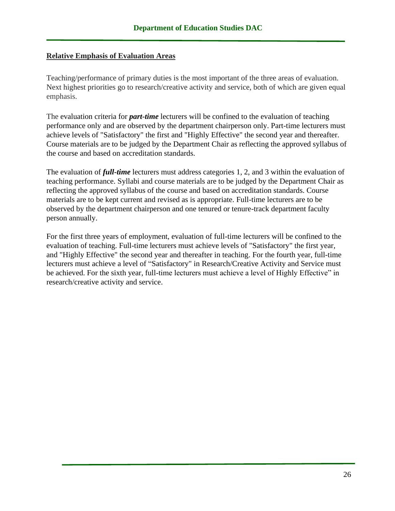### **Relative Emphasis of Evaluation Areas**

Teaching/performance of primary duties is the most important of the three areas of evaluation. Next highest priorities go to research/creative activity and service, both of which are given equal emphasis.

The evaluation criteria for *part-time* lecturers will be confined to the evaluation of teaching performance only and are observed by the department chairperson only. Part-time lecturers must achieve levels of "Satisfactory" the first and "Highly Effective" the second year and thereafter. Course materials are to be judged by the Department Chair as reflecting the approved syllabus of the course and based on accreditation standards.

The evaluation of *full-time* lecturers must address categories 1, 2, and 3 within the evaluation of teaching performance. Syllabi and course materials are to be judged by the Department Chair as reflecting the approved syllabus of the course and based on accreditation standards. Course materials are to be kept current and revised as is appropriate. Full-time lecturers are to be observed by the department chairperson and one tenured or tenure-track department faculty person annually.

For the first three years of employment, evaluation of full-time lecturers will be confined to the evaluation of teaching. Full-time lecturers must achieve levels of "Satisfactory" the first year, and "Highly Effective" the second year and thereafter in teaching. For the fourth year, full-time lecturers must achieve a level of "Satisfactory" in Research/Creative Activity and Service must be achieved. For the sixth year, full-time lecturers must achieve a level of Highly Effective" in research/creative activity and service.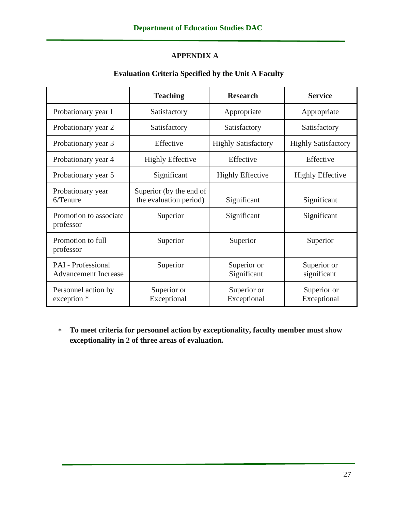# **APPENDIX A**

# **Evaluation Criteria Specified by the Unit A Faculty**

|                                                          | <b>Teaching</b>                                   | <b>Research</b>                                          | <b>Service</b>             |  |
|----------------------------------------------------------|---------------------------------------------------|----------------------------------------------------------|----------------------------|--|
| Probationary year I                                      | Satisfactory                                      | Appropriate                                              | Appropriate                |  |
| Probationary year 2                                      | Satisfactory                                      | Satisfactory                                             | Satisfactory               |  |
| Probationary year 3                                      | Effective                                         | <b>Highly Satisfactory</b>                               | <b>Highly Satisfactory</b> |  |
| Probationary year 4                                      | <b>Highly Effective</b>                           | Effective                                                | Effective                  |  |
| Probationary year 5                                      | Significant                                       | <b>Highly Effective</b>                                  |                            |  |
| Probationary year<br>$6/T$ enure                         | Superior (by the end of<br>the evaluation period) | Significant                                              | Significant                |  |
| Promotion to associate<br>professor                      | Superior                                          | Significant                                              | Significant                |  |
| Promotion to full<br>professor                           | Superior                                          | Superior<br>Superior                                     |                            |  |
| <b>PAI</b> - Professional<br><b>Advancement Increase</b> | Superior                                          | Superior or<br>Superior or<br>Significant<br>significant |                            |  |
| Personnel action by<br>exception *                       | Superior or<br>Exceptional                        | Superior or<br>Exceptional                               | Superior or<br>Exceptional |  |

 **To meet criteria for personnel action by exceptionality, faculty member must show exceptionality in 2 of three areas of evaluation.**